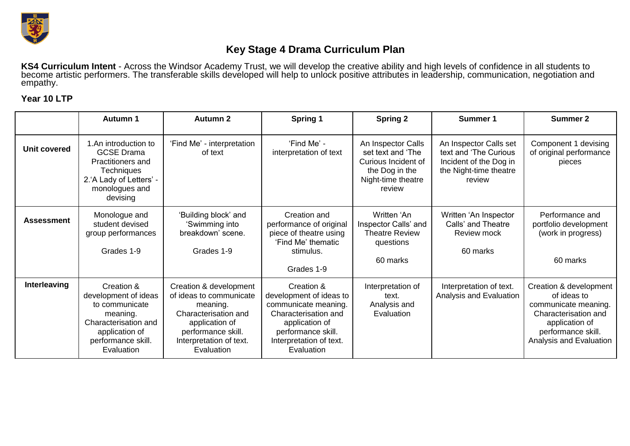

## **Key Stage 4 Drama Curriculum Plan**

**KS4 Curriculum Intent** - Across the Windsor Academy Trust, we will develop the creative ability and high levels of confidence in all students to become artistic performers. The transferable skills developed will help to unlock positive attributes in leadership, communication, negotiation and empathy.

## **Year 10 LTP**

|                     | <b>Autumn 1</b>                                                                                                                                | <b>Autumn 2</b>                                                                                                                                                        | <b>Spring 1</b>                                                                                                                                                        | <b>Spring 2</b>                                                                                                  | Summer 1                                                                                                      | <b>Summer 2</b>                                                                                                                                          |
|---------------------|------------------------------------------------------------------------------------------------------------------------------------------------|------------------------------------------------------------------------------------------------------------------------------------------------------------------------|------------------------------------------------------------------------------------------------------------------------------------------------------------------------|------------------------------------------------------------------------------------------------------------------|---------------------------------------------------------------------------------------------------------------|----------------------------------------------------------------------------------------------------------------------------------------------------------|
| <b>Unit covered</b> | 1.An introduction to<br><b>GCSE Drama</b><br>Practitioners and<br><b>Techniques</b><br>2.'A Lady of Letters' -<br>monologues and<br>devising   | 'Find Me' - interpretation<br>of text                                                                                                                                  | 'Find Me' -<br>interpretation of text                                                                                                                                  | An Inspector Calls<br>set text and 'The<br>Curious Incident of<br>the Dog in the<br>Night-time theatre<br>review | An Inspector Calls set<br>text and 'The Curious<br>Incident of the Dog in<br>the Night-time theatre<br>review | Component 1 devising<br>of original performance<br>pieces                                                                                                |
| <b>Assessment</b>   | Monologue and<br>student devised<br>group performances<br>Grades 1-9                                                                           | 'Building block' and<br>'Swimming into<br>breakdown' scene.<br>Grades 1-9                                                                                              | Creation and<br>performance of original<br>piece of theatre using<br>'Find Me' thematic<br>stimulus.<br>Grades 1-9                                                     | Written 'An<br>Inspector Calls' and<br><b>Theatre Review</b><br>questions<br>60 marks                            | Written 'An Inspector<br>Calls' and Theatre<br>Review mock<br>60 marks                                        | Performance and<br>portfolio development<br>(work in progress)<br>60 marks                                                                               |
| Interleaving        | Creation &<br>development of ideas<br>to communicate<br>meaning.<br>Characterisation and<br>application of<br>performance skill.<br>Evaluation | Creation & development<br>of ideas to communicate<br>meaning.<br>Characterisation and<br>application of<br>performance skill.<br>Interpretation of text.<br>Evaluation | Creation &<br>development of ideas to<br>communicate meaning.<br>Characterisation and<br>application of<br>performance skill.<br>Interpretation of text.<br>Evaluation | Interpretation of<br>text.<br>Analysis and<br>Evaluation                                                         | Interpretation of text.<br>Analysis and Evaluation                                                            | Creation & development<br>of ideas to<br>communicate meaning.<br>Characterisation and<br>application of<br>performance skill.<br>Analysis and Evaluation |